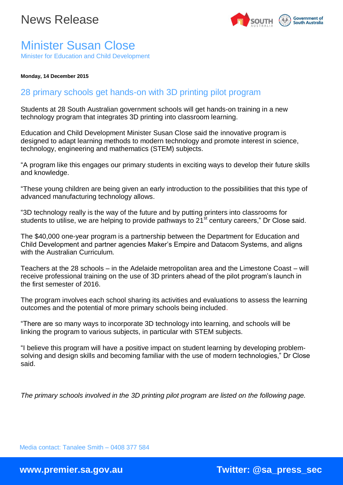

## Minister Susan Close Minister for Education and Child Development

**Monday, 14 December 2015**

## 28 primary schools get hands-on with 3D printing pilot program

Students at 28 South Australian government schools will get hands-on training in a new technology program that integrates 3D printing into classroom learning.

Education and Child Development Minister Susan Close said the innovative program is designed to adapt learning methods to modern technology and promote interest in science, technology, engineering and mathematics (STEM) subjects.

"A program like this engages our primary students in exciting ways to develop their future skills and knowledge.

"These young children are being given an early introduction to the possibilities that this type of advanced manufacturing technology allows.

"3D technology really is the way of the future and by putting printers into classrooms for students to utilise, we are helping to provide pathways to 21<sup>st</sup> century careers," Dr Close said.

The \$40,000 one-year program is a partnership between the Department for Education and Child Development and partner agencies Maker's Empire and Datacom Systems, and aligns with the Australian Curriculum.

Teachers at the 28 schools – in the Adelaide metropolitan area and the Limestone Coast – will receive professional training on the use of 3D printers ahead of the pilot program's launch in the first semester of 2016.

The program involves each school sharing its activities and evaluations to assess the learning outcomes and the potential of more primary schools being included.

"There are so many ways to incorporate 3D technology into learning, and schools will be linking the program to various subjects, in particular with STEM subjects.

"I believe this program will have a positive impact on student learning by developing problemsolving and design skills and becoming familiar with the use of modern technologies," Dr Close said.

*The primary schools involved in the 3D printing pilot program are listed on the following page.*

Media contact: Tanalee Smith – 0408 377 584